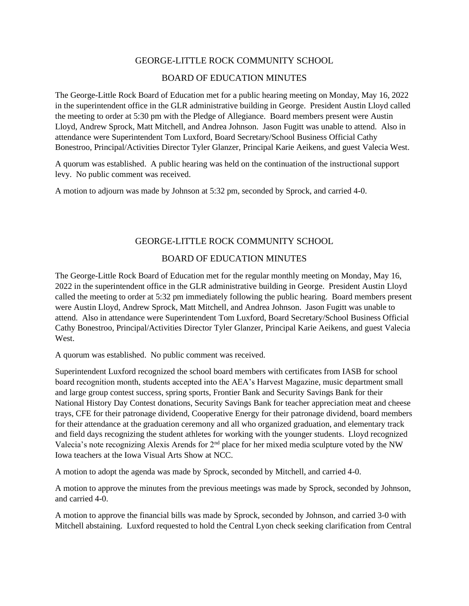## GEORGE-LITTLE ROCK COMMUNITY SCHOOL

## BOARD OF EDUCATION MINUTES

The George-Little Rock Board of Education met for a public hearing meeting on Monday, May 16, 2022 in the superintendent office in the GLR administrative building in George. President Austin Lloyd called the meeting to order at 5:30 pm with the Pledge of Allegiance. Board members present were Austin Lloyd, Andrew Sprock, Matt Mitchell, and Andrea Johnson. Jason Fugitt was unable to attend. Also in attendance were Superintendent Tom Luxford, Board Secretary/School Business Official Cathy Bonestroo, Principal/Activities Director Tyler Glanzer, Principal Karie Aeikens, and guest Valecia West.

A quorum was established. A public hearing was held on the continuation of the instructional support levy. No public comment was received.

A motion to adjourn was made by Johnson at 5:32 pm, seconded by Sprock, and carried 4-0.

## GEORGE-LITTLE ROCK COMMUNITY SCHOOL

## BOARD OF EDUCATION MINUTES

The George-Little Rock Board of Education met for the regular monthly meeting on Monday, May 16, 2022 in the superintendent office in the GLR administrative building in George. President Austin Lloyd called the meeting to order at 5:32 pm immediately following the public hearing. Board members present were Austin Lloyd, Andrew Sprock, Matt Mitchell, and Andrea Johnson. Jason Fugitt was unable to attend. Also in attendance were Superintendent Tom Luxford, Board Secretary/School Business Official Cathy Bonestroo, Principal/Activities Director Tyler Glanzer, Principal Karie Aeikens, and guest Valecia West.

A quorum was established. No public comment was received.

Superintendent Luxford recognized the school board members with certificates from IASB for school board recognition month, students accepted into the AEA's Harvest Magazine, music department small and large group contest success, spring sports, Frontier Bank and Security Savings Bank for their National History Day Contest donations, Security Savings Bank for teacher appreciation meat and cheese trays, CFE for their patronage dividend, Cooperative Energy for their patronage dividend, board members for their attendance at the graduation ceremony and all who organized graduation, and elementary track and field days recognizing the student athletes for working with the younger students. Lloyd recognized Valecia's note recognizing Alexis Arends for 2<sup>nd</sup> place for her mixed media sculpture voted by the NW Iowa teachers at the Iowa Visual Arts Show at NCC.

A motion to adopt the agenda was made by Sprock, seconded by Mitchell, and carried 4-0.

A motion to approve the minutes from the previous meetings was made by Sprock, seconded by Johnson, and carried 4-0.

A motion to approve the financial bills was made by Sprock, seconded by Johnson, and carried 3-0 with Mitchell abstaining. Luxford requested to hold the Central Lyon check seeking clarification from Central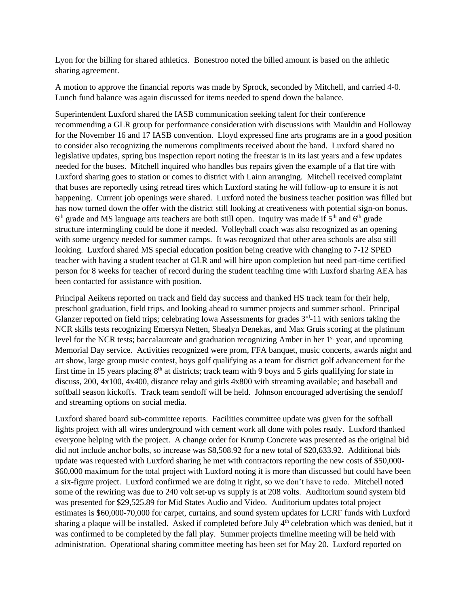Lyon for the billing for shared athletics. Bonestroo noted the billed amount is based on the athletic sharing agreement.

A motion to approve the financial reports was made by Sprock, seconded by Mitchell, and carried 4-0. Lunch fund balance was again discussed for items needed to spend down the balance.

Superintendent Luxford shared the IASB communication seeking talent for their conference recommending a GLR group for performance consideration with discussions with Mauldin and Holloway for the November 16 and 17 IASB convention. Lloyd expressed fine arts programs are in a good position to consider also recognizing the numerous compliments received about the band. Luxford shared no legislative updates, spring bus inspection report noting the freestar is in its last years and a few updates needed for the buses. Mitchell inquired who handles bus repairs given the example of a flat tire with Luxford sharing goes to station or comes to district with Lainn arranging. Mitchell received complaint that buses are reportedly using retread tires which Luxford stating he will follow-up to ensure it is not happening. Current job openings were shared. Luxford noted the business teacher position was filled but has now turned down the offer with the district still looking at creativeness with potential sign-on bonus.  $6<sup>th</sup>$  grade and MS language arts teachers are both still open. Inquiry was made if  $5<sup>th</sup>$  and  $6<sup>th</sup>$  grade structure intermingling could be done if needed. Volleyball coach was also recognized as an opening with some urgency needed for summer camps. It was recognized that other area schools are also still looking. Luxford shared MS special education position being creative with changing to 7-12 SPED teacher with having a student teacher at GLR and will hire upon completion but need part-time certified person for 8 weeks for teacher of record during the student teaching time with Luxford sharing AEA has been contacted for assistance with position.

Principal Aeikens reported on track and field day success and thanked HS track team for their help, preschool graduation, field trips, and looking ahead to summer projects and summer school. Principal Glanzer reported on field trips; celebrating Iowa Assessments for grades  $3<sup>rd</sup>$ -11 with seniors taking the NCR skills tests recognizing Emersyn Netten, Shealyn Denekas, and Max Gruis scoring at the platinum level for the NCR tests; baccalaureate and graduation recognizing Amber in her 1<sup>st</sup> year, and upcoming Memorial Day service. Activities recognized were prom, FFA banquet, music concerts, awards night and art show, large group music contest, boys golf qualifying as a team for district golf advancement for the first time in 15 years placing  $8<sup>th</sup>$  at districts; track team with 9 boys and 5 girls qualifying for state in discuss, 200, 4x100, 4x400, distance relay and girls 4x800 with streaming available; and baseball and softball season kickoffs. Track team sendoff will be held. Johnson encouraged advertising the sendoff and streaming options on social media.

Luxford shared board sub-committee reports. Facilities committee update was given for the softball lights project with all wires underground with cement work all done with poles ready. Luxford thanked everyone helping with the project. A change order for Krump Concrete was presented as the original bid did not include anchor bolts, so increase was \$8,508.92 for a new total of \$20,633.92. Additional bids update was requested with Luxford sharing he met with contractors reporting the new costs of \$50,000- \$60,000 maximum for the total project with Luxford noting it is more than discussed but could have been a six-figure project. Luxford confirmed we are doing it right, so we don't have to redo. Mitchell noted some of the rewiring was due to 240 volt set-up vs supply is at 208 volts. Auditorium sound system bid was presented for \$29,525.89 for Mid States Audio and Video. Auditorium updates total project estimates is \$60,000-70,000 for carpet, curtains, and sound system updates for LCRF funds with Luxford sharing a plaque will be installed. Asked if completed before July 4<sup>th</sup> celebration which was denied, but it was confirmed to be completed by the fall play. Summer projects timeline meeting will be held with administration. Operational sharing committee meeting has been set for May 20. Luxford reported on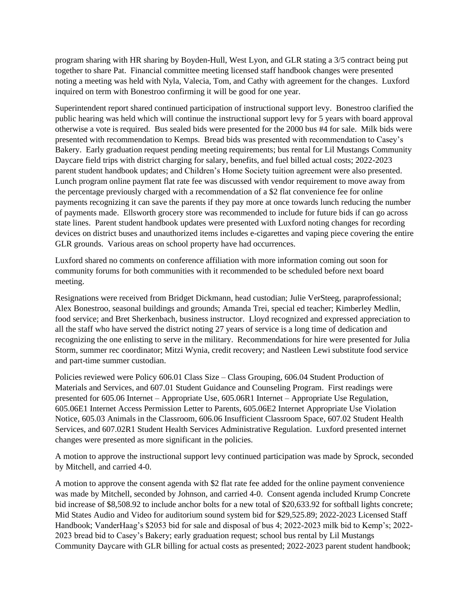program sharing with HR sharing by Boyden-Hull, West Lyon, and GLR stating a 3/5 contract being put together to share Pat. Financial committee meeting licensed staff handbook changes were presented noting a meeting was held with Nyla, Valecia, Tom, and Cathy with agreement for the changes. Luxford inquired on term with Bonestroo confirming it will be good for one year.

Superintendent report shared continued participation of instructional support levy. Bonestroo clarified the public hearing was held which will continue the instructional support levy for 5 years with board approval otherwise a vote is required. Bus sealed bids were presented for the 2000 bus #4 for sale. Milk bids were presented with recommendation to Kemps. Bread bids was presented with recommendation to Casey's Bakery. Early graduation request pending meeting requirements; bus rental for Lil Mustangs Community Daycare field trips with district charging for salary, benefits, and fuel billed actual costs; 2022-2023 parent student handbook updates; and Children's Home Society tuition agreement were also presented. Lunch program online payment flat rate fee was discussed with vendor requirement to move away from the percentage previously charged with a recommendation of a \$2 flat convenience fee for online payments recognizing it can save the parents if they pay more at once towards lunch reducing the number of payments made. Ellsworth grocery store was recommended to include for future bids if can go across state lines. Parent student handbook updates were presented with Luxford noting changes for recording devices on district buses and unauthorized items includes e-cigarettes and vaping piece covering the entire GLR grounds. Various areas on school property have had occurrences.

Luxford shared no comments on conference affiliation with more information coming out soon for community forums for both communities with it recommended to be scheduled before next board meeting.

Resignations were received from Bridget Dickmann, head custodian; Julie VerSteeg, paraprofessional; Alex Bonestroo, seasonal buildings and grounds; Amanda Trei, special ed teacher; Kimberley Medlin, food service; and Bret Sherkenbach, business instructor. Lloyd recognized and expressed appreciation to all the staff who have served the district noting 27 years of service is a long time of dedication and recognizing the one enlisting to serve in the military. Recommendations for hire were presented for Julia Storm, summer rec coordinator; Mitzi Wynia, credit recovery; and Nastleen Lewi substitute food service and part-time summer custodian.

Policies reviewed were Policy 606.01 Class Size – Class Grouping, 606.04 Student Production of Materials and Services, and 607.01 Student Guidance and Counseling Program. First readings were presented for 605.06 Internet – Appropriate Use, 605.06R1 Internet – Appropriate Use Regulation, 605.06E1 Internet Access Permission Letter to Parents, 605.06E2 Internet Appropriate Use Violation Notice, 605.03 Animals in the Classroom, 606.06 Insufficient Classroom Space, 607.02 Student Health Services, and 607.02R1 Student Health Services Administrative Regulation. Luxford presented internet changes were presented as more significant in the policies.

A motion to approve the instructional support levy continued participation was made by Sprock, seconded by Mitchell, and carried 4-0.

A motion to approve the consent agenda with \$2 flat rate fee added for the online payment convenience was made by Mitchell, seconded by Johnson, and carried 4-0. Consent agenda included Krump Concrete bid increase of \$8,508.92 to include anchor bolts for a new total of \$20,633.92 for softball lights concrete; Mid States Audio and Video for auditorium sound system bid for \$29,525.89; 2022-2023 Licensed Staff Handbook; VanderHaag's \$2053 bid for sale and disposal of bus 4; 2022-2023 milk bid to Kemp's; 2022- 2023 bread bid to Casey's Bakery; early graduation request; school bus rental by Lil Mustangs Community Daycare with GLR billing for actual costs as presented; 2022-2023 parent student handbook;